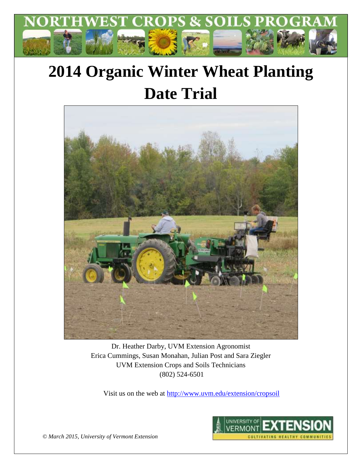

# **2014 Organic Winter Wheat Planting Date Trial**



Dr. Heather Darby, UVM Extension Agronomist Erica Cummings, Susan Monahan, Julian Post and Sara Ziegler UVM Extension Crops and Soils Technicians (802) 524-6501

Visit us on the web at<http://www.uvm.edu/extension/cropsoil>



*© March 2015, University of Vermont Extension*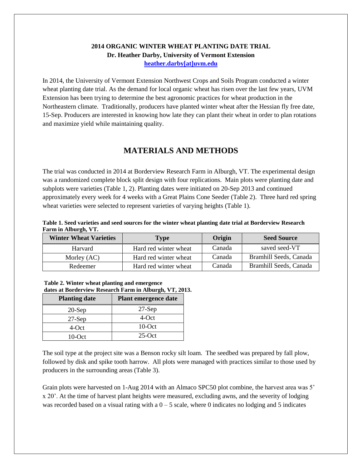#### **2014 ORGANIC WINTER WHEAT PLANTING DATE TRIAL Dr. Heather Darby, University of Vermont Extension [heather.darby\[at\]uvm.edu](mailto:hdarby@uvm.edu?subject=2012%20Winter%20Wheat%20Planting%20Date)**

In 2014, the University of Vermont Extension Northwest Crops and Soils Program conducted a winter wheat planting date trial. As the demand for local organic wheat has risen over the last few years, UVM Extension has been trying to determine the best agronomic practices for wheat production in the Northeastern climate. Traditionally, producers have planted winter wheat after the Hessian fly free date, 15-Sep. Producers are interested in knowing how late they can plant their wheat in order to plan rotations and maximize yield while maintaining quality.

## **MATERIALS AND METHODS**

The trial was conducted in 2014 at Borderview Research Farm in Alburgh, VT. The experimental design was a randomized complete block split design with four replications. Main plots were planting date and subplots were varieties (Table 1, 2). Planting dates were initiated on 20-Sep 2013 and continued approximately every week for 4 weeks with a Great Plains Cone Seeder (Table 2). Three hard red spring wheat varieties were selected to represent varieties of varying heights (Table 1).

#### **Table 1. Seed varieties and seed sources for the winter wheat planting date trial at Borderview Research Farm in Alburgh, VT.**

| <b>Winter Wheat Varieties</b> | Type                  | Origin | <b>Seed Source</b>     |
|-------------------------------|-----------------------|--------|------------------------|
| Harvard                       | Hard red winter wheat | Canada | saved seed-VT          |
| Morley (AC)                   | Hard red winter wheat | Canada | Bramhill Seeds, Canada |
| Redeemer                      | Hard red winter wheat | Canada | Bramhill Seeds, Canada |

| Table 2. Winter wheat planting and emergence            |  |
|---------------------------------------------------------|--|
| dates at Borderview Research Farm in Alburgh, VT, 2013. |  |

| <b>Planting date</b> | Plant emergence date |
|----------------------|----------------------|
| $20-Sep$             | $27-Sep$             |
| $27-Sep$             | 4-Oct                |
| 4-Oct                | $10$ -Oct            |
| $10$ -Oct            | $25$ -Oct            |

The soil type at the project site was a Benson rocky silt loam. The seedbed was prepared by fall plow, followed by disk and spike tooth harrow. All plots were managed with practices similar to those used by producers in the surrounding areas (Table 3).

Grain plots were harvested on 1-Aug 2014 with an Almaco SPC50 plot combine, the harvest area was 5' x 20'. At the time of harvest plant heights were measured, excluding awns, and the severity of lodging was recorded based on a visual rating with a  $0 - 5$  scale, where 0 indicates no lodging and 5 indicates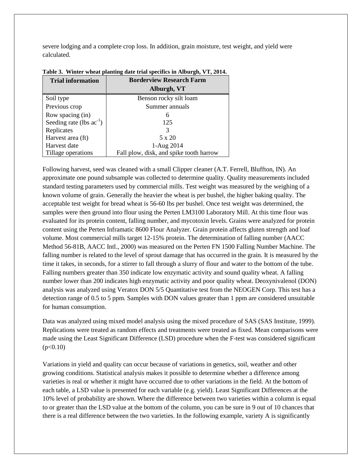severe lodging and a complete crop loss. In addition, grain moisture, test weight, and yield were calculated.

| <b>Trial information</b>      | <b>Borderview Research Farm</b>         |  |  |
|-------------------------------|-----------------------------------------|--|--|
|                               | Alburgh, VT                             |  |  |
| Soil type                     | Benson rocky silt loam                  |  |  |
| Previous crop                 | Summer annuals                          |  |  |
| Row spacing (in)              | 6                                       |  |  |
| Seeding rate (lbs $ac^{-1}$ ) | 125                                     |  |  |
| Replicates                    | 3                                       |  |  |
| Harvest area (ft)             | 5 x 20                                  |  |  |
| Harvest date                  | 1-Aug 2014                              |  |  |
| Tillage operations            | Fall plow, disk, and spike tooth harrow |  |  |

#### **Table 3. Winter wheat planting date trial specifics in Alburgh, VT, 2014.**

Following harvest, seed was cleaned with a small Clipper cleaner (A.T. Ferrell, Bluffton, IN). An approximate one pound subsample was collected to determine quality. Quality measurements included standard testing parameters used by commercial mills. Test weight was measured by the weighing of a known volume of grain. Generally the heavier the wheat is per bushel, the higher baking quality. The acceptable test weight for bread wheat is 56-60 lbs per bushel. Once test weight was determined, the samples were then ground into flour using the Perten LM3100 Laboratory Mill. At this time flour was evaluated for its protein content, falling number, and mycotoxin levels. Grains were analyzed for protein content using the Perten Inframatic 8600 Flour Analyzer. Grain protein affects gluten strength and loaf volume. Most commercial mills target 12-15% protein. The determination of falling number (AACC Method 56-81B, AACC Intl., 2000) was measured on the Perten FN 1500 Falling Number Machine. The falling number is related to the level of sprout damage that has occurred in the grain. It is measured by the time it takes, in seconds, for a stirrer to fall through a slurry of flour and water to the bottom of the tube. Falling numbers greater than 350 indicate low enzymatic activity and sound quality wheat. A falling number lower than 200 indicates high enzymatic activity and poor quality wheat. Deoxynivalenol (DON) analysis was analyzed using Veratox DON 5/5 Quantitative test from the NEOGEN Corp. This test has a detection range of 0.5 to 5 ppm. Samples with DON values greater than 1 ppm are considered unsuitable for human consumption.

Data was analyzed using mixed model analysis using the mixed procedure of SAS (SAS Institute, 1999). Replications were treated as random effects and treatments were treated as fixed. Mean comparisons were made using the Least Significant Difference (LSD) procedure when the F-test was considered significant  $(p<0.10)$ 

Variations in yield and quality can occur because of variations in genetics, soil, weather and other growing conditions. Statistical analysis makes it possible to determine whether a difference among varieties is real or whether it might have occurred due to other variations in the field. At the bottom of each table, a LSD value is presented for each variable (e.g. yield). Least Significant Differences at the 10% level of probability are shown. Where the difference between two varieties within a column is equal to or greater than the LSD value at the bottom of the column, you can be sure in 9 out of 10 chances that there is a real difference between the two varieties. In the following example, variety A is significantly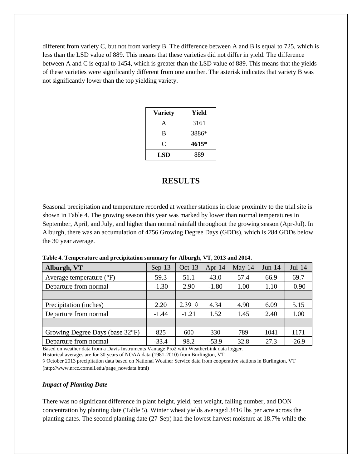different from variety C, but not from variety B. The difference between A and B is equal to 725, which is less than the LSD value of 889. This means that these varieties did not differ in yield. The difference between A and C is equal to 1454, which is greater than the LSD value of 889. This means that the yields of these varieties were significantly different from one another. The asterisk indicates that variety B was not significantly lower than the top yielding variety.

| <b>Variety</b> | Yield |
|----------------|-------|
| A              | 3161  |
| B              | 3886* |
| C              | 4615* |
| LSD            | 889   |

## **RESULTS**

Seasonal precipitation and temperature recorded at weather stations in close proximity to the trial site is shown in Table 4. The growing season this year was marked by lower than normal temperatures in September, April, and July, and higher than normal rainfall throughout the growing season (Apr-Jul). In Alburgh, there was an accumulation of 4756 Growing Degree Days (GDDs), which is 284 GDDs below the 30 year average.

|  |  |  | Table 4. Temperature and precipitation summary for Alburgh, VT, 2013 and 2014. |  |  |
|--|--|--|--------------------------------------------------------------------------------|--|--|
|--|--|--|--------------------------------------------------------------------------------|--|--|

| Alburgh, VT                         | $Sep-13$ | $Oct-13$        | Apr-14  | $May-14$ | $Jun-14$ | $Jul-14$ |
|-------------------------------------|----------|-----------------|---------|----------|----------|----------|
| Average temperature $({}^{\circ}F)$ | 59.3     | 51.1            | 43.0    | 57.4     | 66.9     | 69.7     |
| Departure from normal               | $-1.30$  | 2.90            | $-1.80$ | 1.00     | 1.10     | $-0.90$  |
|                                     |          |                 |         |          |          |          |
| Precipitation (inches)              | 2.20     | 2.39 $\Diamond$ | 4.34    | 4.90     | 6.09     | 5.15     |
| Departure from normal               | $-1.44$  | $-1.21$         | 1.52    | 1.45     | 2.40     | 1.00     |
|                                     |          |                 |         |          |          |          |
| Growing Degree Days (base 32°F)     | 825      | 600             | 330     | 789      | 1041     | 1171     |
| Departure from normal               | $-33.4$  | 98.2            | $-53.9$ | 32.8     | 27.3     | $-26.9$  |

Based on weather data from a Davis Instruments Vantage Pro2 with WeatherLink data logger.

Historical averages are for 30 years of NOAA data (1981-2010) from Burlington, VT.

◊ October 2013 precipitation data based on National Weather Service data from cooperative stations in Burlington, VT (http://www.nrcc.cornell.edu/page\_nowdata.html)

#### *Impact of Planting Date*

There was no significant difference in plant height, yield, test weight, falling number, and DON concentration by planting date (Table 5). Winter wheat yields averaged 3416 lbs per acre across the planting dates. The second planting date (27-Sep) had the lowest harvest moisture at 18.7% while the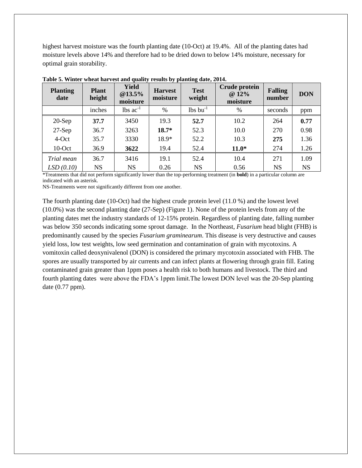highest harvest moisture was the fourth planting date (10-Oct) at 19.4%. All of the planting dates had moisture levels above 14% and therefore had to be dried down to below 14% moisture, necessary for optimal grain storability.

| <b>Planting</b><br>date | <b>Plant</b><br>height | <b>Yield</b><br>@13.5%<br>moisture | <b>Harvest</b><br>moisture | .<br><b>Test</b><br>weight    | <b>Crude protein</b><br>@ 12%<br>moisture | <b>Falling</b><br>number | <b>DON</b> |
|-------------------------|------------------------|------------------------------------|----------------------------|-------------------------------|-------------------------------------------|--------------------------|------------|
|                         | inches                 | $\text{lbs}$ ac <sup>-1</sup>      | $\%$                       | $\text{lbs}$ bu <sup>-1</sup> | %                                         | seconds                  | ppm        |
| $20-Sep$                | 37.7                   | 3450                               | 19.3                       | 52.7                          | 10.2                                      | 264                      | 0.77       |
| $27-Sep$                | 36.7                   | 3263                               | $18.7*$                    | 52.3                          | 10.0                                      | 270                      | 0.98       |
| 4-Oct                   | 35.7                   | 3330                               | 18.9*                      | 52.2                          | 10.3                                      | 275                      | 1.36       |
| $10$ -Oct               | 36.9                   | 3622                               | 19.4                       | 52.4                          | $11.0*$                                   | 274                      | 1.26       |
| Trial mean              | 36.7                   | 3416                               | 19.1                       | 52.4                          | 10.4                                      | 271                      | 1.09       |
| LSD(0.10)               | <b>NS</b>              | <b>NS</b>                          | 0.26                       | <b>NS</b>                     | 0.56                                      | <b>NS</b>                | <b>NS</b>  |

**Table 5. Winter wheat harvest and quality results by planting date, 2014.**

\*Treatments that did not perform significantly lower than the top-performing treatment (in **bold**) in a particular column are indicated with an asterisk.

NS-Treatments were not significantly different from one another.

The fourth planting date (10-Oct) had the highest crude protein level (11.0 %) and the lowest level (10.0%) was the second planting date (27-Sep) (Figure 1). None of the protein levels from any of the planting dates met the industry standards of 12-15% protein. Regardless of planting date, falling number was below 350 seconds indicating some sprout damage. In the Northeast, *Fusarium* head blight (FHB) is predominantly caused by the species *Fusarium graminearum*. This disease is very destructive and causes yield loss, low test weights, low seed germination and contamination of grain with mycotoxins. A vomitoxin called deoxynivalenol (DON) is considered the primary mycotoxin associated with FHB. The spores are usually transported by air currents and can infect plants at flowering through grain fill. Eating contaminated grain greater than 1ppm poses a health risk to both humans and livestock. The third and fourth planting dates were above the FDA's 1ppm limit.The lowest DON level was the 20-Sep planting date (0.77 ppm).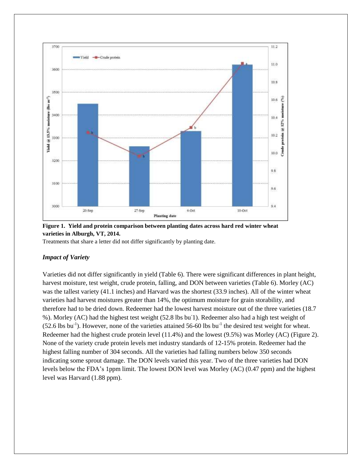

**Figure 1. Yield and protein comparison between planting dates across hard red winter wheat varieties in Alburgh, VT, 2014.** 

Treatments that share a letter did not differ significantly by planting date.

#### *Impact of Variety*

Varieties did not differ significantly in yield (Table 6). There were significant differences in plant height, harvest moisture, test weight, crude protein, falling, and DON between varieties (Table 6). Morley (AC) was the tallest variety (41.1 inches) and Harvard was the shortest (33.9 inches). All of the winter wheat varieties had harvest moistures greater than 14%, the optimum moisture for grain storability, and therefore had to be dried down. Redeemer had the lowest harvest moisture out of the three varieties (18.7 %). Morley (AC) had the highest test weight (52.8 lbs bu-1). Redeemer also had a high test weight of  $(52.6 \text{ lbs bu}^{-1})$ . However, none of the varieties attained 56-60 lbs bu<sup>-1</sup> the desired test weight for wheat. Redeemer had the highest crude protein level (11.4%) and the lowest (9.5%) was Morley (AC) (Figure 2). None of the variety crude protein levels met industry standards of 12-15% protein. Redeemer had the highest falling number of 304 seconds. All the varieties had falling numbers below 350 seconds indicating some sprout damage. The DON levels varied this year. Two of the three varieties had DON levels below the FDA's 1ppm limit. The lowest DON level was Morley (AC) (0.47 ppm) and the highest level was Harvard (1.88 ppm).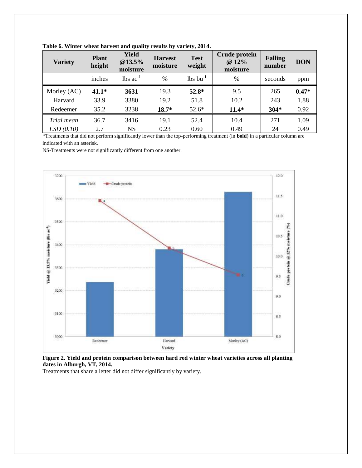| <b>Variety</b> | <b>Plant</b><br>height | <b>Yield</b><br>@13.5%<br>moisture | <b>Harvest</b><br>moisture | <b>Test</b><br>weight  | Crude protein<br>@ 12%<br>moisture | <b>Falling</b><br>number | <b>DON</b> |
|----------------|------------------------|------------------------------------|----------------------------|------------------------|------------------------------------|--------------------------|------------|
|                | inches                 | $\text{lbs}$ ac <sup>-1</sup>      | $\%$                       | $lbs$ bu <sup>-1</sup> | $\%$                               | seconds                  | ppm        |
| Morley (AC)    | $41.1*$                | 3631                               | 19.3                       | $52.8*$                | 9.5                                | 265                      | $0.47*$    |
| Harvard        | 33.9                   | 3380                               | 19.2                       | 51.8                   | 10.2                               | 243                      | 1.88       |
| Redeemer       | 35.2                   | 3238                               | $18.7*$                    | $52.6*$                | $11.4*$                            | $304*$                   | 0.92       |
| Trial mean     | 36.7                   | 3416                               | 19.1                       | 52.4                   | 10.4                               | 271                      | 1.09       |
| LSD(0.10)      | 2.7                    | <b>NS</b>                          | 0.23                       | 0.60                   | 0.49                               | 24                       | 0.49       |

**Table 6. Winter wheat harvest and quality results by variety, 2014.** 

\*Treatments that did not perform significantly lower than the top-performing treatment (in **bold**) in a particular column are indicated with an asterisk.

NS-Treatments were not significantly different from one another.



**Figure 2. Yield and protein comparison between hard red winter wheat varieties across all planting dates in Alburgh, VT, 2014.** 

Treatments that share a letter did not differ significantly by variety.